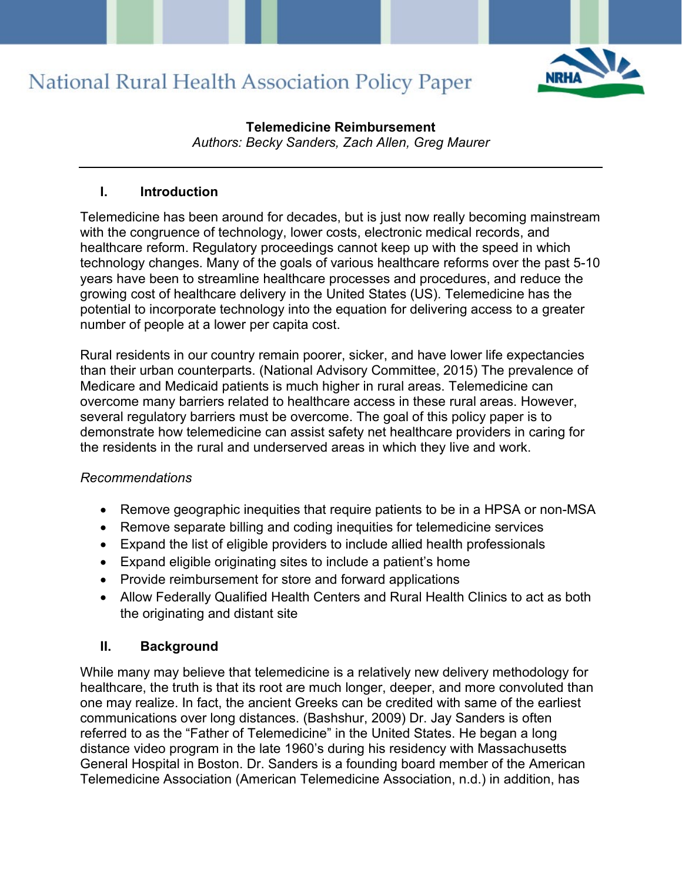

## **Telemedicine Reimbursement**

*Authors: Becky Sanders, Zach Allen, Greg Maurer*

### **I. Introduction**

Telemedicine has been around for decades, but is just now really becoming mainstream with the congruence of technology, lower costs, electronic medical records, and healthcare reform. Regulatory proceedings cannot keep up with the speed in which technology changes. Many of the goals of various healthcare reforms over the past 5-10 years have been to streamline healthcare processes and procedures, and reduce the growing cost of healthcare delivery in the United States (US). Telemedicine has the potential to incorporate technology into the equation for delivering access to a greater number of people at a lower per capita cost.

Rural residents in our country remain poorer, sicker, and have lower life expectancies than their urban counterparts. (National Advisory Committee, 2015) The prevalence of Medicare and Medicaid patients is much higher in rural areas. Telemedicine can overcome many barriers related to healthcare access in these rural areas. However, several regulatory barriers must be overcome. The goal of this policy paper is to demonstrate how telemedicine can assist safety net healthcare providers in caring for the residents in the rural and underserved areas in which they live and work.

## *Recommendations*

- Remove geographic inequities that require patients to be in a HPSA or non-MSA
- Remove separate billing and coding inequities for telemedicine services
- Expand the list of eligible providers to include allied health professionals
- Expand eligible originating sites to include a patient's home
- Provide reimbursement for store and forward applications
- Allow Federally Qualified Health Centers and Rural Health Clinics to act as both the originating and distant site

## **II. Background**

While many may believe that telemedicine is a relatively new delivery methodology for healthcare, the truth is that its root are much longer, deeper, and more convoluted than one may realize. In fact, the ancient Greeks can be credited with same of the earliest communications over long distances. (Bashshur, 2009) Dr. Jay Sanders is often referred to as the "Father of Telemedicine" in the United States. He began a long distance video program in the late 1960's during his residency with Massachusetts General Hospital in Boston. Dr. Sanders is a founding board member of the American Telemedicine Association (American Telemedicine Association, n.d.) in addition, has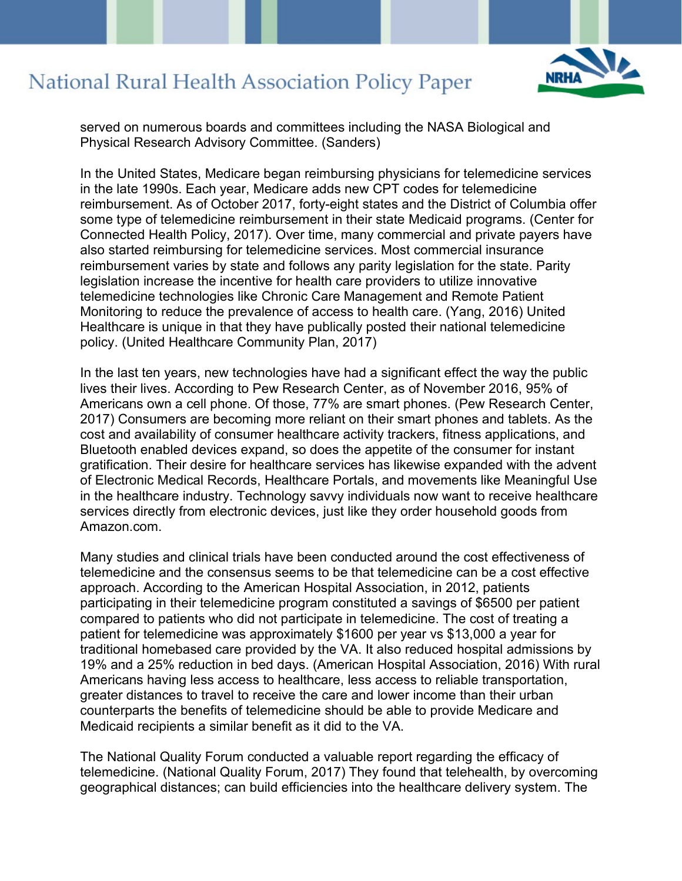

served on numerous boards and committees including the NASA Biological and Physical Research Advisory Committee. (Sanders)

In the United States, Medicare began reimbursing physicians for telemedicine services in the late 1990s. Each year, Medicare adds new CPT codes for telemedicine reimbursement. As of October 2017, forty-eight states and the District of Columbia offer some type of telemedicine reimbursement in their state Medicaid programs. (Center for Connected Health Policy, 2017). Over time, many commercial and private payers have also started reimbursing for telemedicine services. Most commercial insurance reimbursement varies by state and follows any parity legislation for the state. Parity legislation increase the incentive for health care providers to utilize innovative telemedicine technologies like Chronic Care Management and Remote Patient Monitoring to reduce the prevalence of access to health care. (Yang, 2016) United Healthcare is unique in that they have publically posted their national telemedicine policy. (United Healthcare Community Plan, 2017)

In the last ten years, new technologies have had a significant effect the way the public lives their lives. According to Pew Research Center, as of November 2016, 95% of Americans own a cell phone. Of those, 77% are smart phones. (Pew Research Center, 2017) Consumers are becoming more reliant on their smart phones and tablets. As the cost and availability of consumer healthcare activity trackers, fitness applications, and Bluetooth enabled devices expand, so does the appetite of the consumer for instant gratification. Their desire for healthcare services has likewise expanded with the advent of Electronic Medical Records, Healthcare Portals, and movements like Meaningful Use in the healthcare industry. Technology savvy individuals now want to receive healthcare services directly from electronic devices, just like they order household goods from Amazon.com.

Many studies and clinical trials have been conducted around the cost effectiveness of telemedicine and the consensus seems to be that telemedicine can be a cost effective approach. According to the American Hospital Association, in 2012, patients participating in their telemedicine program constituted a savings of \$6500 per patient compared to patients who did not participate in telemedicine. The cost of treating a patient for telemedicine was approximately \$1600 per year vs \$13,000 a year for traditional homebased care provided by the VA. It also reduced hospital admissions by 19% and a 25% reduction in bed days. (American Hospital Association, 2016) With rural Americans having less access to healthcare, less access to reliable transportation, greater distances to travel to receive the care and lower income than their urban counterparts the benefits of telemedicine should be able to provide Medicare and Medicaid recipients a similar benefit as it did to the VA.

The National Quality Forum conducted a valuable report regarding the efficacy of telemedicine. (National Quality Forum, 2017) They found that telehealth, by overcoming geographical distances; can build efficiencies into the healthcare delivery system. The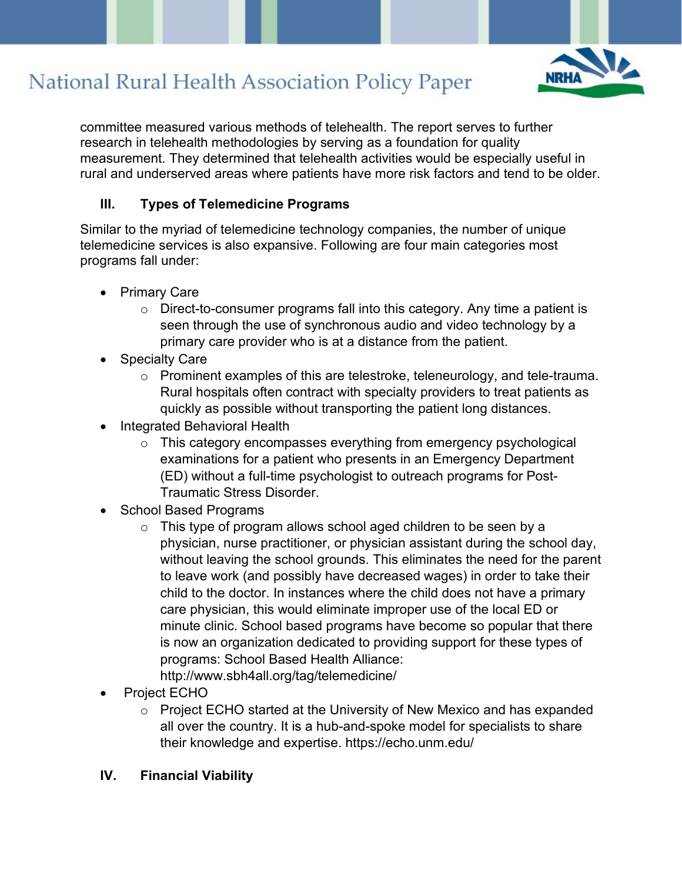

committee measured various methods of telehealth. The report serves to further research in telehealth methodologies by serving as a foundation for quality measurement. They determined that telehealth activities would be especially useful in rural and underserved areas where patients have more risk factors and tend to be older.

### **III. Types of Telemedicine Programs**

Similar to the myriad of telemedicine technology companies, the number of unique telemedicine services is also expansive. Following are four main categories most programs fall under:

- Primary Care
	- $\circ$  Direct-to-consumer programs fall into this category. Any time a patient is seen through the use of synchronous audio and video technology by a primary care provider who is at a distance from the patient.
- **Specialty Care** 
	- o Prominent examples of this are telestroke, teleneurology, and tele-trauma. Rural hospitals often contract with specialty providers to treat patients as quickly as possible without transporting the patient long distances.
- Integrated Behavioral Health
	- o This category encompasses everything from emergency psychological examinations for a patient who presents in an Emergency Department (ED) without a full-time psychologist to outreach programs for Post-Traumatic Stress Disorder.
- School Based Programs
	- $\circ$  This type of program allows school aged children to be seen by a physician, nurse practitioner, or physician assistant during the school day, without leaving the school grounds. This eliminates the need for the parent to leave work (and possibly have decreased wages) in order to take their child to the doctor. In instances where the child does not have a primary care physician, this would eliminate improper use of the local ED or minute clinic. School based programs have become so popular that there is now an organization dedicated to providing support for these types of programs: School Based Health Alliance: http://www.sbh4all.org/tag/telemedicine/
- Project ECHO
	- o Project ECHO started at the University of New Mexico and has expanded all over the country. It is a hub-and-spoke model for specialists to share their knowledge and expertise. https://echo.unm.edu/

## **IV. Financial Viability**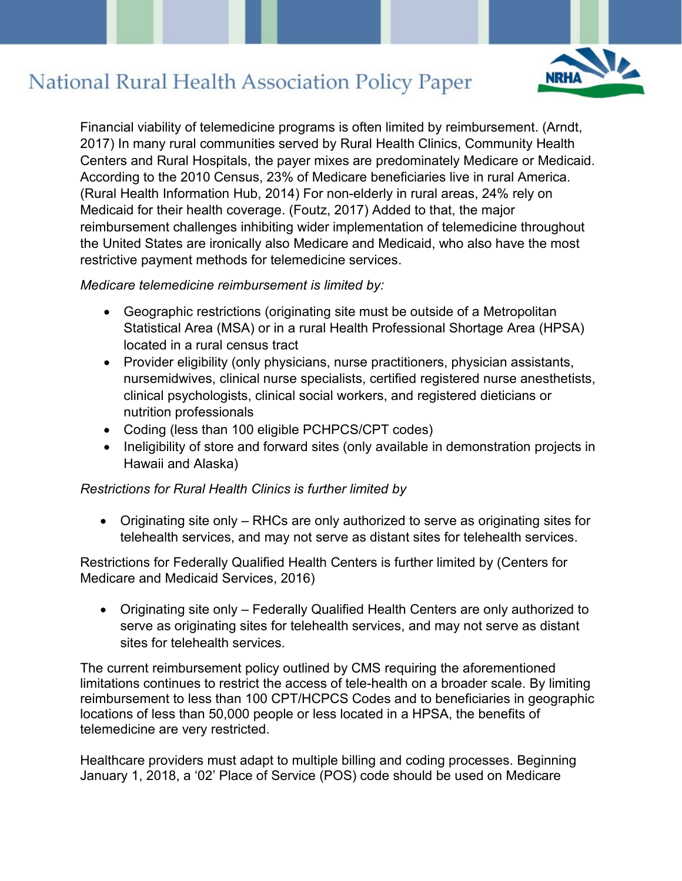

Financial viability of telemedicine programs is often limited by reimbursement. (Arndt, 2017) In many rural communities served by Rural Health Clinics, Community Health Centers and Rural Hospitals, the payer mixes are predominately Medicare or Medicaid. According to the 2010 Census, 23% of Medicare beneficiaries live in rural America. (Rural Health Information Hub, 2014) For non-elderly in rural areas, 24% rely on Medicaid for their health coverage. (Foutz, 2017) Added to that, the major reimbursement challenges inhibiting wider implementation of telemedicine throughout the United States are ironically also Medicare and Medicaid, who also have the most restrictive payment methods for telemedicine services.

#### *Medicare telemedicine reimbursement is limited by:*

- Geographic restrictions (originating site must be outside of a Metropolitan Statistical Area (MSA) or in a rural Health Professional Shortage Area (HPSA) located in a rural census tract
- Provider eligibility (only physicians, nurse practitioners, physician assistants, nursemidwives, clinical nurse specialists, certified registered nurse anesthetists, clinical psychologists, clinical social workers, and registered dieticians or nutrition professionals
- Coding (less than 100 eligible PCHPCS/CPT codes)
- Ineligibility of store and forward sites (only available in demonstration projects in Hawaii and Alaska)

## *Restrictions for Rural Health Clinics is further limited by*

• Originating site only – RHCs are only authorized to serve as originating sites for telehealth services, and may not serve as distant sites for telehealth services.

Restrictions for Federally Qualified Health Centers is further limited by (Centers for Medicare and Medicaid Services, 2016)

• Originating site only – Federally Qualified Health Centers are only authorized to serve as originating sites for telehealth services, and may not serve as distant sites for telehealth services.

The current reimbursement policy outlined by CMS requiring the aforementioned limitations continues to restrict the access of tele-health on a broader scale. By limiting reimbursement to less than 100 CPT/HCPCS Codes and to beneficiaries in geographic locations of less than 50,000 people or less located in a HPSA, the benefits of telemedicine are very restricted.

Healthcare providers must adapt to multiple billing and coding processes. Beginning January 1, 2018, a '02' Place of Service (POS) code should be used on Medicare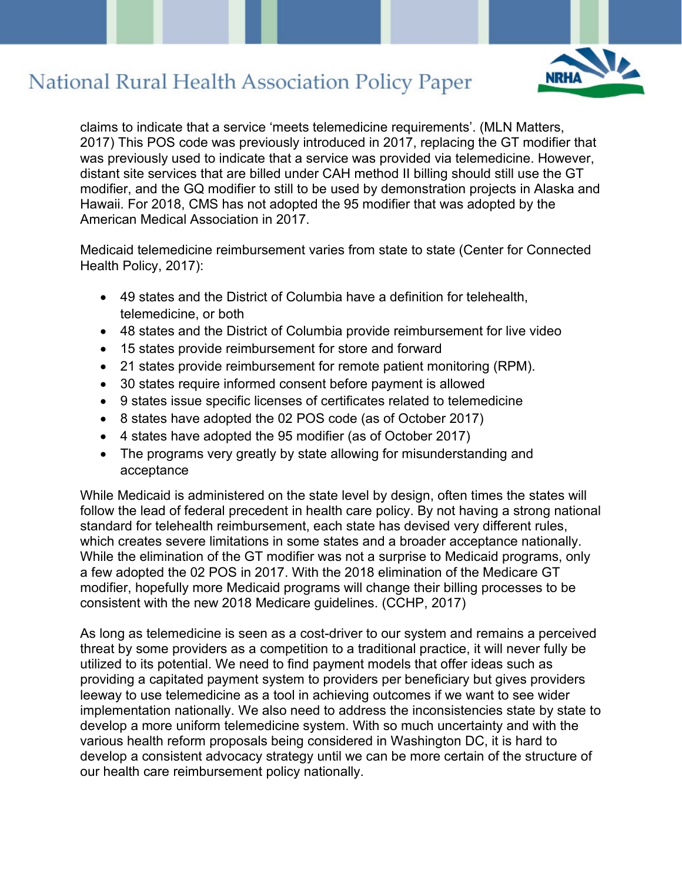

claims to indicate that a service 'meets telemedicine requirements'. (MLN Matters, 2017) This POS code was previously introduced in 2017, replacing the GT modifier that was previously used to indicate that a service was provided via telemedicine. However, distant site services that are billed under CAH method II billing should still use the GT modifier, and the GQ modifier to still to be used by demonstration projects in Alaska and Hawaii. For 2018, CMS has not adopted the 95 modifier that was adopted by the American Medical Association in 2017.

Medicaid telemedicine reimbursement varies from state to state (Center for Connected Health Policy, 2017):

- 49 states and the District of Columbia have a definition for telehealth, telemedicine, or both
- 48 states and the District of Columbia provide reimbursement for live video
- 15 states provide reimbursement for store and forward
- 21 states provide reimbursement for remote patient monitoring (RPM).
- 30 states require informed consent before payment is allowed
- 9 states issue specific licenses of certificates related to telemedicine
- 8 states have adopted the 02 POS code (as of October 2017)
- 4 states have adopted the 95 modifier (as of October 2017)
- The programs very greatly by state allowing for misunderstanding and acceptance

While Medicaid is administered on the state level by design, often times the states will follow the lead of federal precedent in health care policy. By not having a strong national standard for telehealth reimbursement, each state has devised very different rules, which creates severe limitations in some states and a broader acceptance nationally. While the elimination of the GT modifier was not a surprise to Medicaid programs, only a few adopted the 02 POS in 2017. With the 2018 elimination of the Medicare GT modifier, hopefully more Medicaid programs will change their billing processes to be consistent with the new 2018 Medicare guidelines. (CCHP, 2017)

As long as telemedicine is seen as a cost-driver to our system and remains a perceived threat by some providers as a competition to a traditional practice, it will never fully be utilized to its potential. We need to find payment models that offer ideas such as providing a capitated payment system to providers per beneficiary but gives providers leeway to use telemedicine as a tool in achieving outcomes if we want to see wider implementation nationally. We also need to address the inconsistencies state by state to develop a more uniform telemedicine system. With so much uncertainty and with the various health reform proposals being considered in Washington DC, it is hard to develop a consistent advocacy strategy until we can be more certain of the structure of our health care reimbursement policy nationally.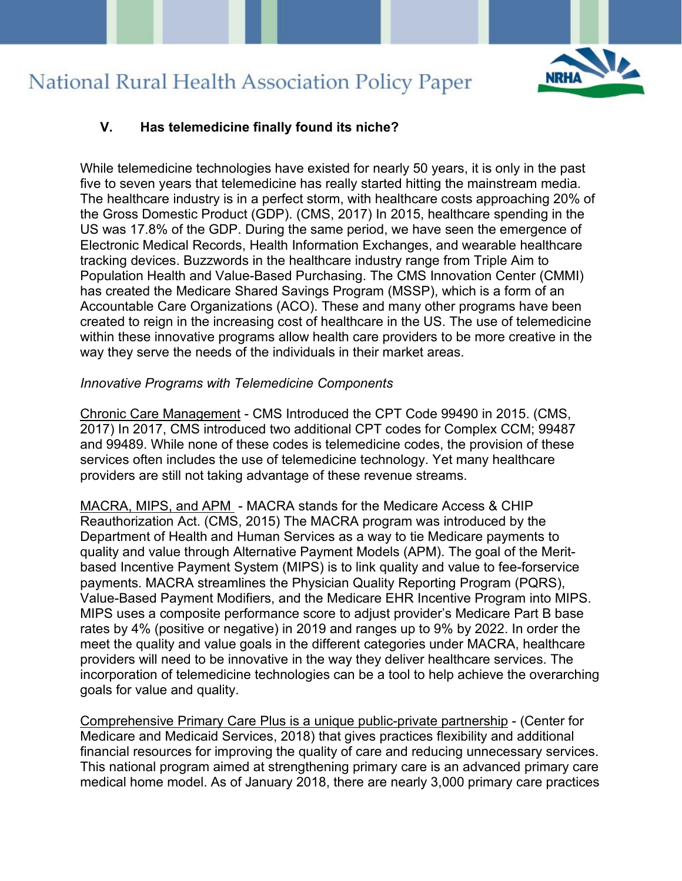

## **V. Has telemedicine finally found its niche?**

While telemedicine technologies have existed for nearly 50 years, it is only in the past five to seven years that telemedicine has really started hitting the mainstream media. The healthcare industry is in a perfect storm, with healthcare costs approaching 20% of the Gross Domestic Product (GDP). (CMS, 2017) In 2015, healthcare spending in the US was 17.8% of the GDP. During the same period, we have seen the emergence of Electronic Medical Records, Health Information Exchanges, and wearable healthcare tracking devices. Buzzwords in the healthcare industry range from Triple Aim to Population Health and Value-Based Purchasing. The CMS Innovation Center (CMMI) has created the Medicare Shared Savings Program (MSSP), which is a form of an Accountable Care Organizations (ACO). These and many other programs have been created to reign in the increasing cost of healthcare in the US. The use of telemedicine within these innovative programs allow health care providers to be more creative in the way they serve the needs of the individuals in their market areas.

#### *Innovative Programs with Telemedicine Components*

Chronic Care Management - CMS Introduced the CPT Code 99490 in 2015. (CMS, 2017) In 2017, CMS introduced two additional CPT codes for Complex CCM; 99487 and 99489. While none of these codes is telemedicine codes, the provision of these services often includes the use of telemedicine technology. Yet many healthcare providers are still not taking advantage of these revenue streams.

MACRA, MIPS, and APM - MACRA stands for the Medicare Access & CHIP Reauthorization Act. (CMS, 2015) The MACRA program was introduced by the Department of Health and Human Services as a way to tie Medicare payments to quality and value through Alternative Payment Models (APM). The goal of the Meritbased Incentive Payment System (MIPS) is to link quality and value to fee-forservice payments. MACRA streamlines the Physician Quality Reporting Program (PQRS), Value-Based Payment Modifiers, and the Medicare EHR Incentive Program into MIPS. MIPS uses a composite performance score to adjust provider's Medicare Part B base rates by 4% (positive or negative) in 2019 and ranges up to 9% by 2022. In order the meet the quality and value goals in the different categories under MACRA, healthcare providers will need to be innovative in the way they deliver healthcare services. The incorporation of telemedicine technologies can be a tool to help achieve the overarching goals for value and quality.

Comprehensive Primary Care Plus is a unique public-private partnership - (Center for Medicare and Medicaid Services, 2018) that gives practices flexibility and additional financial resources for improving the quality of care and reducing unnecessary services. This national program aimed at strengthening primary care is an advanced primary care medical home model. As of January 2018, there are nearly 3,000 primary care practices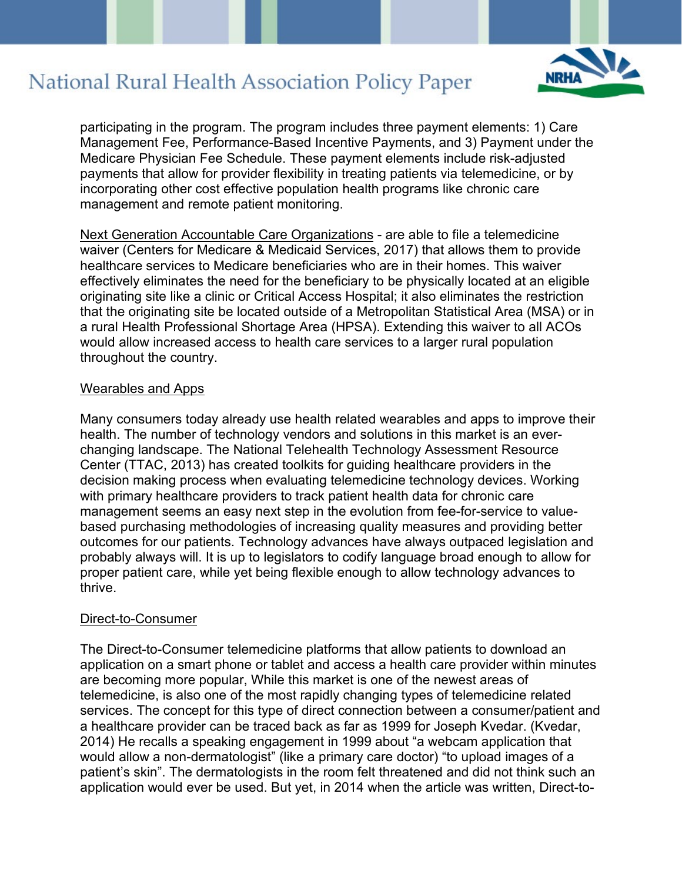

participating in the program. The program includes three payment elements: 1) Care Management Fee, Performance-Based Incentive Payments, and 3) Payment under the Medicare Physician Fee Schedule. These payment elements include risk-adjusted payments that allow for provider flexibility in treating patients via telemedicine, or by incorporating other cost effective population health programs like chronic care management and remote patient monitoring.

Next Generation Accountable Care Organizations - are able to file a telemedicine waiver (Centers for Medicare & Medicaid Services, 2017) that allows them to provide healthcare services to Medicare beneficiaries who are in their homes. This waiver effectively eliminates the need for the beneficiary to be physically located at an eligible originating site like a clinic or Critical Access Hospital; it also eliminates the restriction that the originating site be located outside of a Metropolitan Statistical Area (MSA) or in a rural Health Professional Shortage Area (HPSA). Extending this waiver to all ACOs would allow increased access to health care services to a larger rural population throughout the country.

#### Wearables and Apps

Many consumers today already use health related wearables and apps to improve their health. The number of technology vendors and solutions in this market is an everchanging landscape. The National Telehealth Technology Assessment Resource Center (TTAC, 2013) has created toolkits for guiding healthcare providers in the decision making process when evaluating telemedicine technology devices. Working with primary healthcare providers to track patient health data for chronic care management seems an easy next step in the evolution from fee-for-service to valuebased purchasing methodologies of increasing quality measures and providing better outcomes for our patients. Technology advances have always outpaced legislation and probably always will. It is up to legislators to codify language broad enough to allow for proper patient care, while yet being flexible enough to allow technology advances to thrive.

#### Direct-to-Consumer

The Direct-to-Consumer telemedicine platforms that allow patients to download an application on a smart phone or tablet and access a health care provider within minutes are becoming more popular, While this market is one of the newest areas of telemedicine, is also one of the most rapidly changing types of telemedicine related services. The concept for this type of direct connection between a consumer/patient and a healthcare provider can be traced back as far as 1999 for Joseph Kvedar. (Kvedar, 2014) He recalls a speaking engagement in 1999 about "a webcam application that would allow a non-dermatologist" (like a primary care doctor) "to upload images of a patient's skin". The dermatologists in the room felt threatened and did not think such an application would ever be used. But yet, in 2014 when the article was written, Direct-to-